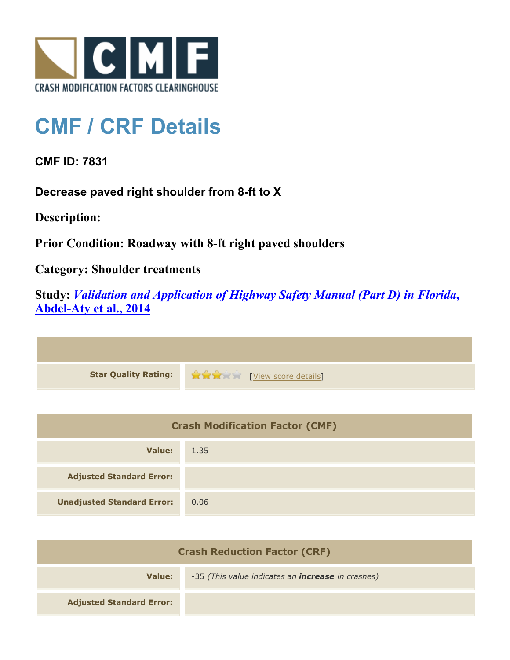

## **CMF / CRF Details**

**CMF ID: 7831**

**Decrease paved right shoulder from 8-ft to X**

**Description:** 

**Prior Condition: Roadway with 8-ft right paved shoulders**

**Category: Shoulder treatments**

**Study:** *[Validation and Application of Highway Safety Manual \(Part D\) in Florida](http://www.cmfclearinghouse.org/study_detail.cfm?stid=433)***[,](http://www.cmfclearinghouse.org/study_detail.cfm?stid=433) [Abdel-Aty et al., 2014](http://www.cmfclearinghouse.org/study_detail.cfm?stid=433)**

**Star Quality Rating:**  $\bullet$   $\bullet$   $\bullet$   $\bullet$  [[View score details](http://www.cmfclearinghouse.org/score_details.cfm?facid=7831)]

| <b>Crash Modification Factor (CMF)</b> |      |
|----------------------------------------|------|
| Value:                                 | 1.35 |
| <b>Adjusted Standard Error:</b>        |      |
| <b>Unadjusted Standard Error:</b>      | 0.06 |

| <b>Crash Reduction Factor (CRF)</b> |                                                          |
|-------------------------------------|----------------------------------------------------------|
| Value:                              | -35 (This value indicates an <b>increase</b> in crashes) |
| <b>Adjusted Standard Error:</b>     |                                                          |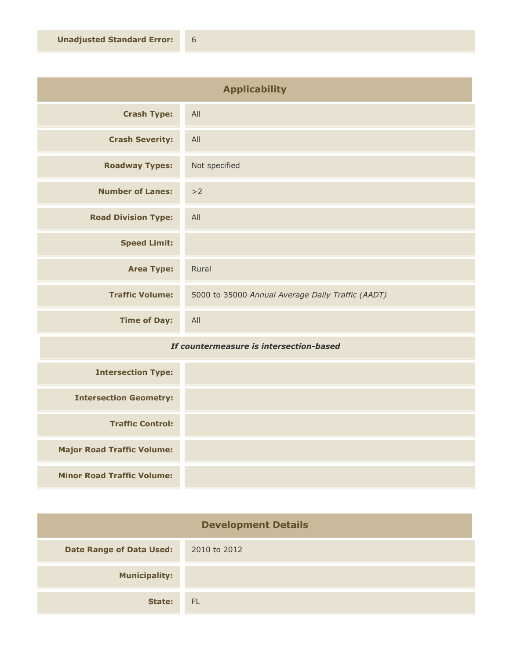| <b>Applicability</b>       |                                                   |
|----------------------------|---------------------------------------------------|
| <b>Crash Type:</b>         | All                                               |
| <b>Crash Severity:</b>     | All                                               |
| <b>Roadway Types:</b>      | Not specified                                     |
| <b>Number of Lanes:</b>    | >2                                                |
| <b>Road Division Type:</b> | All                                               |
| <b>Speed Limit:</b>        |                                                   |
| <b>Area Type:</b>          | Rural                                             |
| <b>Traffic Volume:</b>     | 5000 to 35000 Annual Average Daily Traffic (AADT) |
| <b>Time of Day:</b>        | All                                               |

## *If countermeasure is intersection-based*

| <b>Intersection Type:</b>         |  |
|-----------------------------------|--|
| <b>Intersection Geometry:</b>     |  |
| <b>Traffic Control:</b>           |  |
| <b>Major Road Traffic Volume:</b> |  |
| <b>Minor Road Traffic Volume:</b> |  |

| <b>Development Details</b>      |              |
|---------------------------------|--------------|
| <b>Date Range of Data Used:</b> | 2010 to 2012 |
| <b>Municipality:</b>            |              |
| State:                          | - FL         |